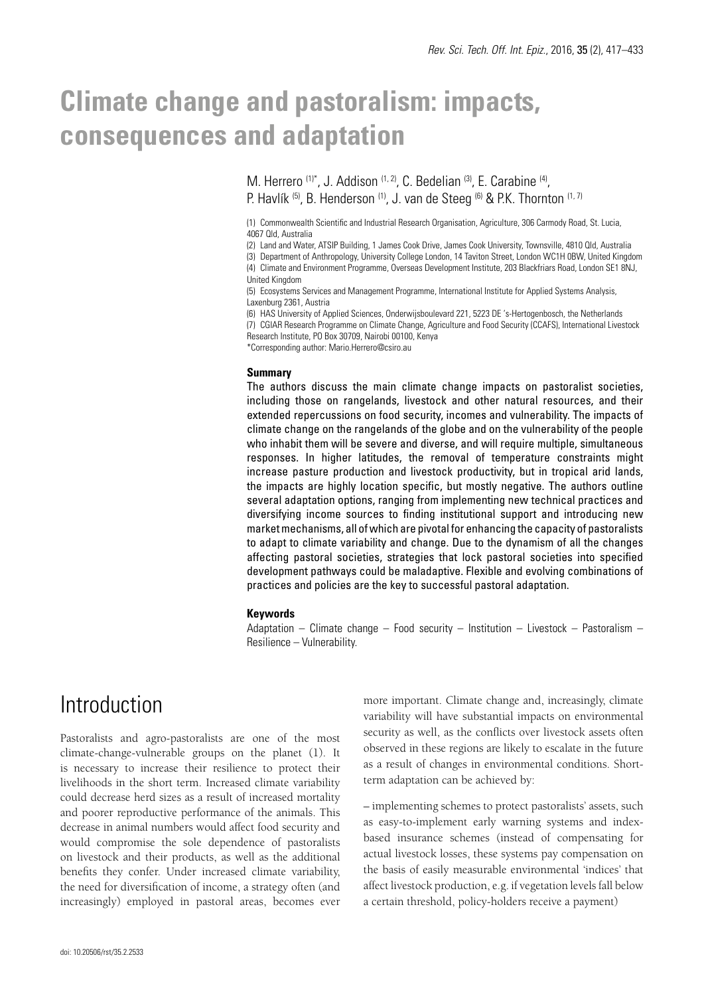# **Climate change and pastoralism: impacts, consequences and adaptation**

M. Herrero (1)\*, J. Addison (1, 2), C. Bedelian (3), E. Carabine (4), P. Havlík <sup>(5)</sup>, B. Henderson <sup>(1)</sup>, J. van de Steeg <sup>(6)</sup> & P.K. Thornton <sup>(1, 7)</sup>

(1) Commonwealth Scientific and Industrial Research Organisation, Agriculture, 306 Carmody Road, St. Lucia, 4067 Qld, Australia

(2) Land and Water, ATSIP Building, 1 James Cook Drive, James Cook University, Townsville, 4810 Qld, Australia

(3) Department of Anthropology, University College London, 14 Taviton Street, London WC1H 0BW, United Kingdom (4) Climate and Environment Programme, Overseas Development Institute, 203 Blackfriars Road, London SE1 8NJ, United Kingdom

(5) Ecosystems Services and Management Programme, International Institute for Applied Systems Analysis, Laxenburg 2361, Austria

(6) HAS University of Applied Sciences, Onderwijsboulevard 221, 5223 DE 's-Hertogenbosch, the Netherlands (7) CGIAR Research Programme on Climate Change, Agriculture and Food Security (CCAFS), International Livestock

Research Institute, PO Box 30709, Nairobi 00100, Kenya

\*Corresponding author: Mario.Herrero@csiro.au

#### **Summary**

The authors discuss the main climate change impacts on pastoralist societies, including those on rangelands, livestock and other natural resources, and their extended repercussions on food security, incomes and vulnerability. The impacts of climate change on the rangelands of the globe and on the vulnerability of the people who inhabit them will be severe and diverse, and will require multiple, simultaneous responses. In higher latitudes, the removal of temperature constraints might increase pasture production and livestock productivity, but in tropical arid lands, the impacts are highly location specific, but mostly negative. The authors outline several adaptation options, ranging from implementing new technical practices and diversifying income sources to finding institutional support and introducing new market mechanisms, all of which are pivotal for enhancing the capacity of pastoralists to adapt to climate variability and change. Due to the dynamism of all the changes affecting pastoral societies, strategies that lock pastoral societies into specified development pathways could be maladaptive. Flexible and evolving combinations of practices and policies are the key to successful pastoral adaptation.

#### **Keywords**

Adaptation – Climate change – Food security – Institution – Livestock – Pastoralism – Resilience – Vulnerability.

## **Introduction**

Pastoralists and agro-pastoralists are one of the most climate-change-vulnerable groups on the planet (1). It is necessary to increase their resilience to protect their livelihoods in the short term. Increased climate variability could decrease herd sizes as a result of increased mortality and poorer reproductive performance of the animals. This decrease in animal numbers would affect food security and would compromise the sole dependence of pastoralists on livestock and their products, as well as the additional benefits they confer. Under increased climate variability, the need for diversification of income, a strategy often (and increasingly) employed in pastoral areas, becomes ever more important. Climate change and, increasingly, climate variability will have substantial impacts on environmental security as well, as the conflicts over livestock assets often observed in these regions are likely to escalate in the future as a result of changes in environmental conditions. Shortterm adaptation can be achieved by:

– implementing schemes to protect pastoralists' assets, such as easy-to-implement early warning systems and indexbased insurance schemes (instead of compensating for actual livestock losses, these systems pay compensation on the basis of easily measurable environmental 'indices' that affect livestock production, e.g. if vegetation levels fall below a certain threshold, policy-holders receive a payment)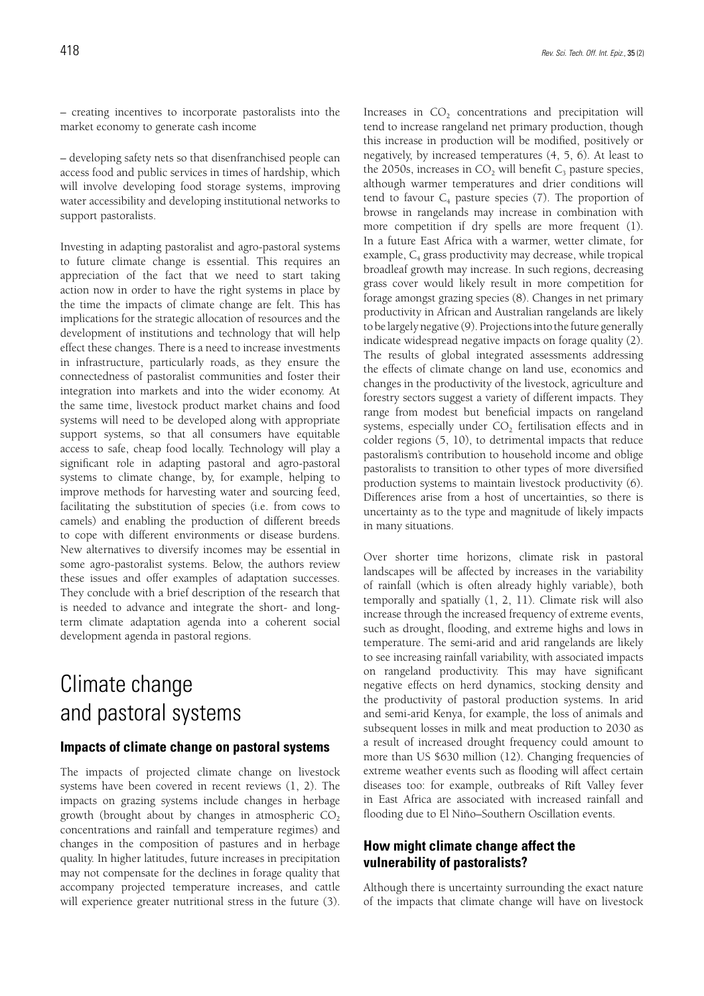– creating incentives to incorporate pastoralists into the market economy to generate cash income

– developing safety nets so that disenfranchised people can access food and public services in times of hardship, which will involve developing food storage systems, improving water accessibility and developing institutional networks to support pastoralists.

Investing in adapting pastoralist and agro-pastoral systems to future climate change is essential. This requires an appreciation of the fact that we need to start taking action now in order to have the right systems in place by the time the impacts of climate change are felt. This has implications for the strategic allocation of resources and the development of institutions and technology that will help effect these changes. There is a need to increase investments in infrastructure, particularly roads, as they ensure the connectedness of pastoralist communities and foster their integration into markets and into the wider economy. At the same time, livestock product market chains and food systems will need to be developed along with appropriate support systems, so that all consumers have equitable access to safe, cheap food locally. Technology will play a significant role in adapting pastoral and agro-pastoral systems to climate change, by, for example, helping to improve methods for harvesting water and sourcing feed, facilitating the substitution of species (i.e. from cows to camels) and enabling the production of different breeds to cope with different environments or disease burdens. New alternatives to diversify incomes may be essential in some agro-pastoralist systems. Below, the authors review these issues and offer examples of adaptation successes. They conclude with a brief description of the research that is needed to advance and integrate the short- and longterm climate adaptation agenda into a coherent social development agenda in pastoral regions.

## Climate change and pastoral systems

## **Impacts of climate change on pastoral systems**

The impacts of projected climate change on livestock systems have been covered in recent reviews (1, 2). The impacts on grazing systems include changes in herbage growth (brought about by changes in atmospheric  $CO<sub>2</sub>$ concentrations and rainfall and temperature regimes) and changes in the composition of pastures and in herbage quality. In higher latitudes, future increases in precipitation may not compensate for the declines in forage quality that accompany projected temperature increases, and cattle will experience greater nutritional stress in the future (3). Increases in  $CO<sub>2</sub>$  concentrations and precipitation will tend to increase rangeland net primary production, though this increase in production will be modified, positively or negatively, by increased temperatures (4, 5, 6). At least to the 2050s, increases in  $CO<sub>2</sub>$  will benefit  $C<sub>3</sub>$  pasture species, although warmer temperatures and drier conditions will tend to favour  $C_4$  pasture species (7). The proportion of browse in rangelands may increase in combination with more competition if dry spells are more frequent (1). In a future East Africa with a warmer, wetter climate, for example,  $C_4$  grass productivity may decrease, while tropical broadleaf growth may increase. In such regions, decreasing grass cover would likely result in more competition for forage amongst grazing species (8). Changes in net primary productivity in African and Australian rangelands are likely to be largely negative (9). Projections into the future generally indicate widespread negative impacts on forage quality (2). The results of global integrated assessments addressing the effects of climate change on land use, economics and changes in the productivity of the livestock, agriculture and forestry sectors suggest a variety of different impacts. They range from modest but beneficial impacts on rangeland systems, especially under CO<sub>2</sub> fertilisation effects and in colder regions (5, 10), to detrimental impacts that reduce pastoralism's contribution to household income and oblige pastoralists to transition to other types of more diversified production systems to maintain livestock productivity (6). Differences arise from a host of uncertainties, so there is uncertainty as to the type and magnitude of likely impacts in many situations.

Over shorter time horizons, climate risk in pastoral landscapes will be affected by increases in the variability of rainfall (which is often already highly variable), both temporally and spatially (1, 2, 11). Climate risk will also increase through the increased frequency of extreme events, such as drought, flooding, and extreme highs and lows in temperature. The semi-arid and arid rangelands are likely to see increasing rainfall variability, with associated impacts on rangeland productivity. This may have significant negative effects on herd dynamics, stocking density and the productivity of pastoral production systems. In arid and semi-arid Kenya, for example, the loss of animals and subsequent losses in milk and meat production to 2030 as a result of increased drought frequency could amount to more than US \$630 million (12). Changing frequencies of extreme weather events such as flooding will affect certain diseases too: for example, outbreaks of Rift Valley fever in East Africa are associated with increased rainfall and flooding due to El Niño–Southern Oscillation events.

## **How might climate change affect the vulnerability of pastoralists?**

Although there is uncertainty surrounding the exact nature of the impacts that climate change will have on livestock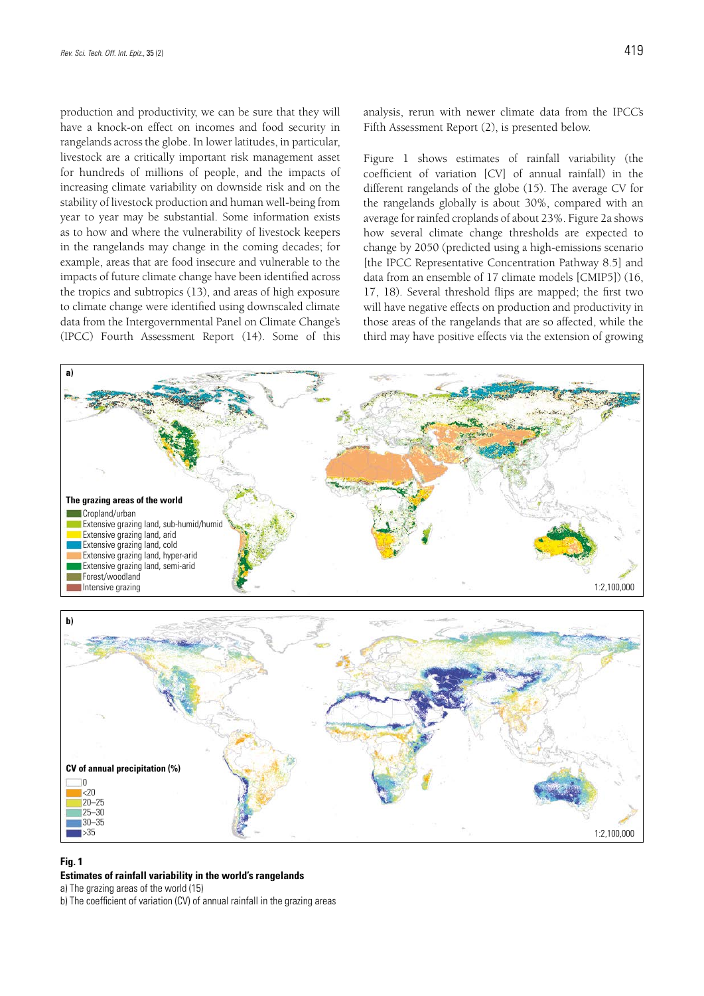production and productivity, we can be sure that they will have a knock-on effect on incomes and food security in rangelands across the globe. In lower latitudes, in particular, livestock are a critically important risk management asset for hundreds of millions of people, and the impacts of increasing climate variability on downside risk and on the stability of livestock production and human well-being from year to year may be substantial. Some information exists as to how and where the vulnerability of livestock keepers in the rangelands may change in the coming decades; for example, areas that are food insecure and vulnerable to the impacts of future climate change have been identified across the tropics and subtropics (13), and areas of high exposure to climate change were identified using downscaled climate data from the Intergovernmental Panel on Climate Change's (IPCC) Fourth Assessment Report (14). Some of this

analysis, rerun with newer climate data from the IPCC's Fifth Assessment Report (2), is presented below.

Figure 1 shows estimates of rainfall variability (the coefficient of variation [CV] of annual rainfall) in the different rangelands of the globe (15). The average CV for the rangelands globally is about 30%, compared with an average for rainfed croplands of about 23%. Figure 2a shows how several climate change thresholds are expected to change by 2050 (predicted using a high-emissions scenario [the IPCC Representative Concentration Pathway 8.5] and data from an ensemble of 17 climate models [CMIP5]) (16, 17, 18). Several threshold flips are mapped; the first two will have negative effects on production and productivity in those areas of the rangelands that are so affected, while the third may have positive effects via the extension of growing





#### **Fig. 1**

#### **Estimates of rainfall variability in the world's rangelands**

a) The grazing areas of the world (15)

b) The coefficient of variation (CV) of annual rainfall in the grazing areas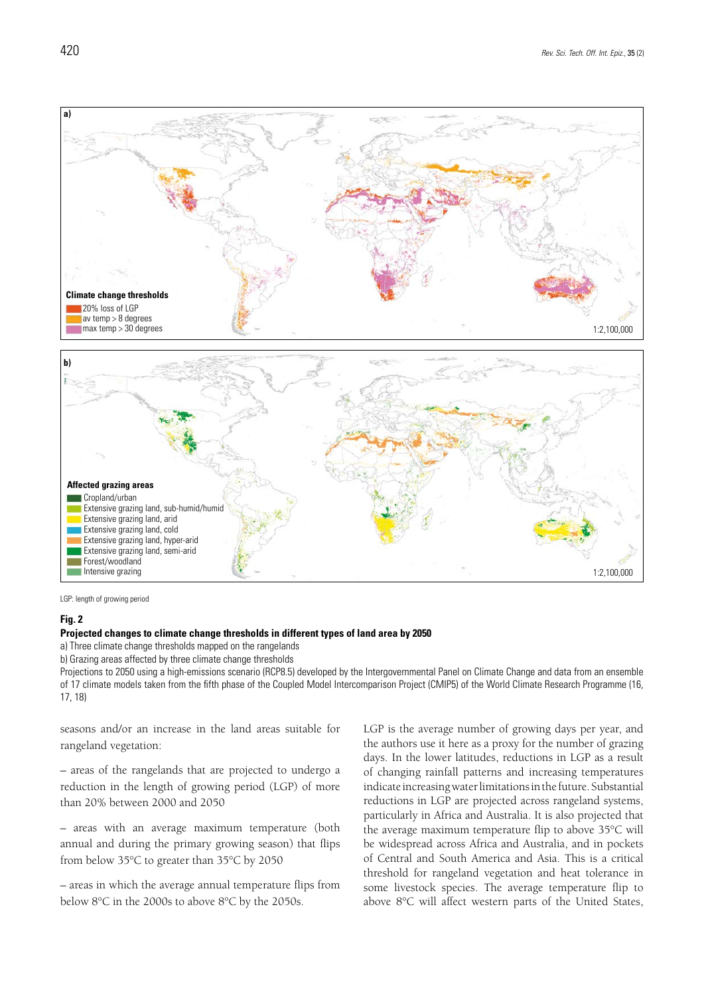

LGP: length of growing period

#### **Fig. 2**

#### **Projected changes to climate change thresholds in different types of land area by 2050**

a) Three climate change thresholds mapped on the rangelands

b) Grazing areas affected by three climate change thresholds

Projections to 2050 using a high-emissions scenario (RCP8.5) developed by the Intergovernmental Panel on Climate Change and data from an ensemble of 17 climate models taken from the fifth phase of the Coupled Model Intercomparison Project (CMIP5) of the World Climate Research Programme (16, 17, 18)

seasons and/or an increase in the land areas suitable for rangeland vegetation:

– areas of the rangelands that are projected to undergo a reduction in the length of growing period (LGP) of more than 20% between 2000 and 2050

– areas with an average maximum temperature (both annual and during the primary growing season) that flips from below 35°C to greater than 35°C by 2050

– areas in which the average annual temperature flips from below 8°C in the 2000s to above 8°C by the 2050s.

LGP is the average number of growing days per year, and the authors use it here as a proxy for the number of grazing days. In the lower latitudes, reductions in LGP as a result of changing rainfall patterns and increasing temperatures indicate increasing water limitations in the future. Substantial reductions in LGP are projected across rangeland systems, particularly in Africa and Australia. It is also projected that the average maximum temperature flip to above 35°C will be widespread across Africa and Australia, and in pockets of Central and South America and Asia. This is a critical threshold for rangeland vegetation and heat tolerance in some livestock species. The average temperature flip to above 8°C will affect western parts of the United States,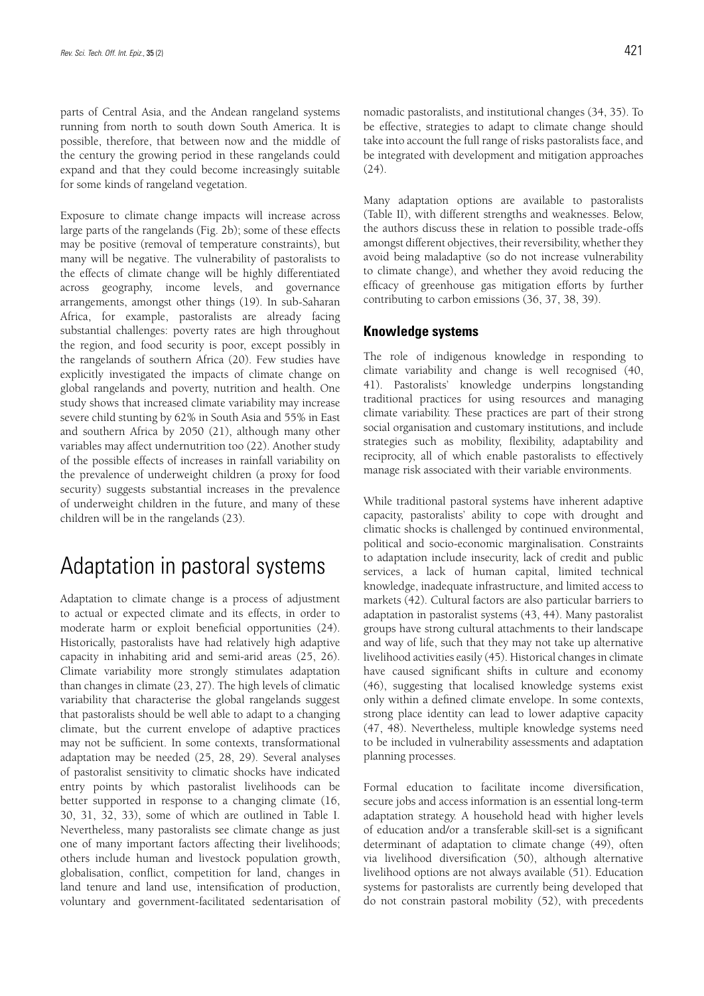parts of Central Asia, and the Andean rangeland systems running from north to south down South America. It is possible, therefore, that between now and the middle of the century the growing period in these rangelands could expand and that they could become increasingly suitable for some kinds of rangeland vegetation.

Exposure to climate change impacts will increase across large parts of the rangelands (Fig. 2b); some of these effects may be positive (removal of temperature constraints), but many will be negative. The vulnerability of pastoralists to the effects of climate change will be highly differentiated across geography, income levels, and governance arrangements, amongst other things (19). In sub-Saharan Africa, for example, pastoralists are already facing substantial challenges: poverty rates are high throughout the region, and food security is poor, except possibly in the rangelands of southern Africa (20). Few studies have explicitly investigated the impacts of climate change on global rangelands and poverty, nutrition and health. One study shows that increased climate variability may increase severe child stunting by 62% in South Asia and 55% in East and southern Africa by 2050 (21), although many other variables may affect undernutrition too (22). Another study of the possible effects of increases in rainfall variability on the prevalence of underweight children (a proxy for food security) suggests substantial increases in the prevalence of underweight children in the future, and many of these children will be in the rangelands (23).

## Adaptation in pastoral systems

Adaptation to climate change is a process of adjustment to actual or expected climate and its effects, in order to moderate harm or exploit beneficial opportunities (24). Historically, pastoralists have had relatively high adaptive capacity in inhabiting arid and semi-arid areas (25, 26). Climate variability more strongly stimulates adaptation than changes in climate (23, 27). The high levels of climatic variability that characterise the global rangelands suggest that pastoralists should be well able to adapt to a changing climate, but the current envelope of adaptive practices may not be sufficient. In some contexts, transformational adaptation may be needed (25, 28, 29). Several analyses of pastoralist sensitivity to climatic shocks have indicated entry points by which pastoralist livelihoods can be better supported in response to a changing climate (16, 30, 31, 32, 33), some of which are outlined in Table I. Nevertheless, many pastoralists see climate change as just one of many important factors affecting their livelihoods; others include human and livestock population growth, globalisation, conflict, competition for land, changes in land tenure and land use, intensification of production, voluntary and government-facilitated sedentarisation of nomadic pastoralists, and institutional changes (34, 35). To be effective, strategies to adapt to climate change should take into account the full range of risks pastoralists face, and be integrated with development and mitigation approaches (24).

Many adaptation options are available to pastoralists (Table II), with different strengths and weaknesses. Below, the authors discuss these in relation to possible trade-offs amongst different objectives, their reversibility, whether they avoid being maladaptive (so do not increase vulnerability to climate change), and whether they avoid reducing the efficacy of greenhouse gas mitigation efforts by further contributing to carbon emissions (36, 37, 38, 39).

### **Knowledge systems**

The role of indigenous knowledge in responding to climate variability and change is well recognised (40, 41). Pastoralists' knowledge underpins longstanding traditional practices for using resources and managing climate variability. These practices are part of their strong social organisation and customary institutions, and include strategies such as mobility, flexibility, adaptability and reciprocity, all of which enable pastoralists to effectively manage risk associated with their variable environments.

While traditional pastoral systems have inherent adaptive capacity, pastoralists' ability to cope with drought and climatic shocks is challenged by continued environmental, political and socio-economic marginalisation. Constraints to adaptation include insecurity, lack of credit and public services, a lack of human capital, limited technical knowledge, inadequate infrastructure, and limited access to markets (42). Cultural factors are also particular barriers to adaptation in pastoralist systems (43, 44). Many pastoralist groups have strong cultural attachments to their landscape and way of life, such that they may not take up alternative livelihood activities easily (45). Historical changes in climate have caused significant shifts in culture and economy (46), suggesting that localised knowledge systems exist only within a defined climate envelope. In some contexts, strong place identity can lead to lower adaptive capacity (47, 48). Nevertheless, multiple knowledge systems need to be included in vulnerability assessments and adaptation planning processes.

Formal education to facilitate income diversification, secure jobs and access information is an essential long-term adaptation strategy. A household head with higher levels of education and/or a transferable skill-set is a significant determinant of adaptation to climate change (49), often via livelihood diversification (50), although alternative livelihood options are not always available (51). Education systems for pastoralists are currently being developed that do not constrain pastoral mobility (52), with precedents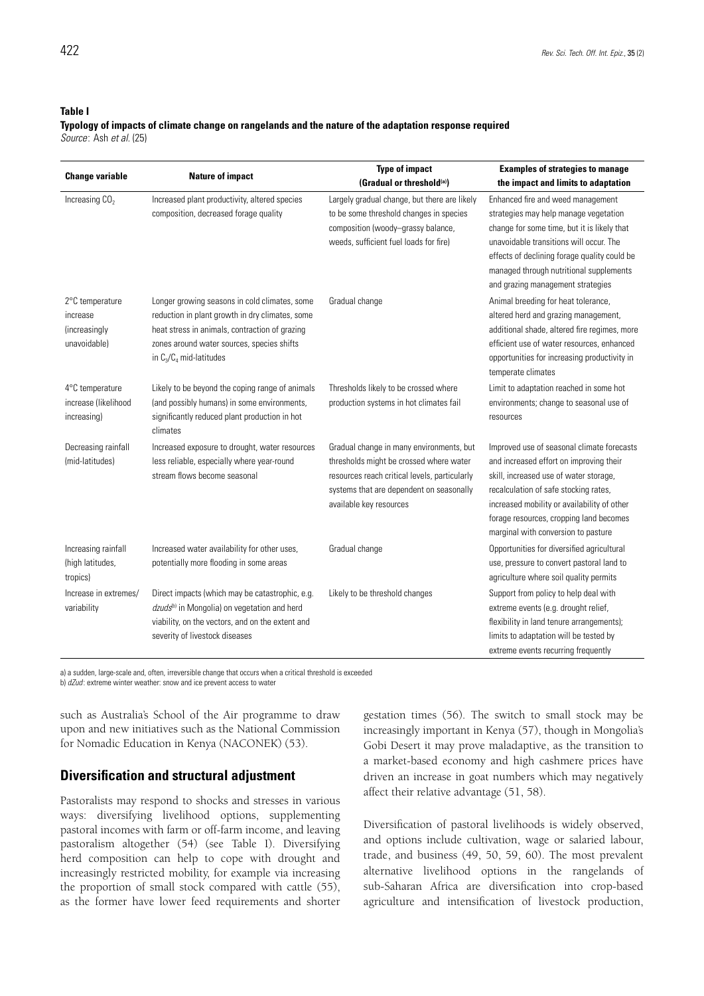#### **Table I**

#### **Typology of impacts of climate change on rangelands and the nature of the adaptation response required** *Source*: Ash *et al.* (25)

|                                                              | <b>Type of impact</b>                                                                                                                                                                                                          |                                                                                                                                                                                                             | <b>Examples of strategies to manage</b>                                                                                                                                                                                                                                                                   |  |
|--------------------------------------------------------------|--------------------------------------------------------------------------------------------------------------------------------------------------------------------------------------------------------------------------------|-------------------------------------------------------------------------------------------------------------------------------------------------------------------------------------------------------------|-----------------------------------------------------------------------------------------------------------------------------------------------------------------------------------------------------------------------------------------------------------------------------------------------------------|--|
| <b>Change variable</b>                                       | <b>Nature of impact</b>                                                                                                                                                                                                        | (Gradual or threshold(a))                                                                                                                                                                                   | the impact and limits to adaptation                                                                                                                                                                                                                                                                       |  |
| Increasing CO <sub>2</sub>                                   | Increased plant productivity, altered species<br>composition, decreased forage quality                                                                                                                                         | Largely gradual change, but there are likely<br>to be some threshold changes in species<br>composition (woody-grassy balance,<br>weeds, sufficient fuel loads for fire)                                     | Enhanced fire and weed management<br>strategies may help manage vegetation<br>change for some time, but it is likely that<br>unavoidable transitions will occur. The<br>effects of declining forage quality could be<br>managed through nutritional supplements<br>and grazing management strategies      |  |
| 2°C temperature<br>increase<br>(increasingly<br>unavoidable) | Longer growing seasons in cold climates, some<br>reduction in plant growth in dry climates, some<br>heat stress in animals, contraction of grazing<br>zones around water sources, species shifts<br>in $C_3/C_4$ mid-latitudes | Gradual change                                                                                                                                                                                              | Animal breeding for heat tolerance,<br>altered herd and grazing management,<br>additional shade, altered fire regimes, more<br>efficient use of water resources, enhanced<br>opportunities for increasing productivity in<br>temperate climates                                                           |  |
| 4°C temperature<br>increase (likelihood<br>increasing)       | Likely to be beyond the coping range of animals<br>(and possibly humans) in some environments,<br>significantly reduced plant production in hot<br>climates                                                                    | Thresholds likely to be crossed where<br>production systems in hot climates fail                                                                                                                            | Limit to adaptation reached in some hot<br>environments; change to seasonal use of<br>resources                                                                                                                                                                                                           |  |
| Decreasing rainfall<br>(mid-latitudes)                       | Increased exposure to drought, water resources<br>less reliable, especially where year-round<br>stream flows become seasonal                                                                                                   | Gradual change in many environments, but<br>thresholds might be crossed where water<br>resources reach critical levels, particularly<br>systems that are dependent on seasonally<br>available key resources | Improved use of seasonal climate forecasts<br>and increased effort on improving their<br>skill, increased use of water storage,<br>recalculation of safe stocking rates,<br>increased mobility or availability of other<br>forage resources, cropping land becomes<br>marginal with conversion to pasture |  |
| Increasing rainfall<br>(high latitudes,<br>tropics)          | Increased water availability for other uses,<br>potentially more flooding in some areas                                                                                                                                        | Gradual change                                                                                                                                                                                              | Opportunities for diversified agricultural<br>use, pressure to convert pastoral land to<br>agriculture where soil quality permits                                                                                                                                                                         |  |
| Increase in extremes/<br>variability                         | Direct impacts (which may be catastrophic, e.g.<br>dzuds <sup>tb)</sup> in Mongolia) on vegetation and herd<br>viability, on the vectors, and on the extent and<br>severity of livestock diseases                              | Likely to be threshold changes                                                                                                                                                                              | Support from policy to help deal with<br>extreme events (e.g. drought relief,<br>flexibility in land tenure arrangements);<br>limits to adaptation will be tested by<br>extreme events recurring frequently                                                                                               |  |

a) a sudden, large-scale and, often, irreversible change that occurs when a critical threshold is exceeded

b) *dZud* : extreme winter weather: snow and ice prevent access to water

such as Australia's School of the Air programme to draw upon and new initiatives such as the National Commission for Nomadic Education in Kenya (NACONEK) (53).

### **Diversification and structural adjustment**

Pastoralists may respond to shocks and stresses in various ways: diversifying livelihood options, supplementing pastoral incomes with farm or off-farm income, and leaving pastoralism altogether (54) (see Table I). Diversifying herd composition can help to cope with drought and increasingly restricted mobility, for example via increasing the proportion of small stock compared with cattle (55), as the former have lower feed requirements and shorter

gestation times (56). The switch to small stock may be increasingly important in Kenya (57), though in Mongolia's Gobi Desert it may prove maladaptive, as the transition to a market-based economy and high cashmere prices have driven an increase in goat numbers which may negatively affect their relative advantage (51, 58).

Diversification of pastoral livelihoods is widely observed, and options include cultivation, wage or salaried labour, trade, and business (49, 50, 59, 60). The most prevalent alternative livelihood options in the rangelands of sub-Saharan Africa are diversification into crop-based agriculture and intensification of livestock production,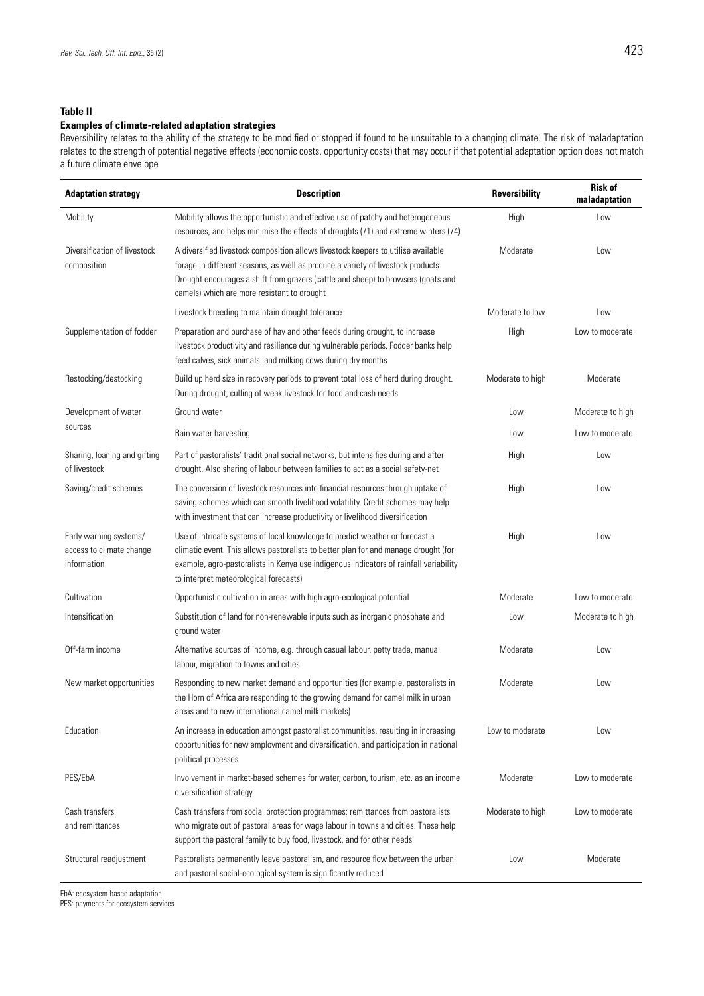### **Table II**

### **Examples of climate-related adaptation strategies**

Reversibility relates to the ability of the strategy to be modified or stopped if found to be unsuitable to a changing climate. The risk of maladaptation relates to the strength of potential negative effects (economic costs, opportunity costs) that may occur if that potential adaptation option does not match a future climate envelope

| <b>Adaptation strategy</b>                                        | <b>Description</b>                                                                                                                                                                                                                                                                                        | <b>Reversibility</b> | <b>Risk of</b><br>maladaptation |
|-------------------------------------------------------------------|-----------------------------------------------------------------------------------------------------------------------------------------------------------------------------------------------------------------------------------------------------------------------------------------------------------|----------------------|---------------------------------|
| Mobility                                                          | Mobility allows the opportunistic and effective use of patchy and heterogeneous<br>resources, and helps minimise the effects of droughts (71) and extreme winters (74)                                                                                                                                    | High                 | Low                             |
| Diversification of livestock<br>composition                       | A diversified livestock composition allows livestock keepers to utilise available<br>forage in different seasons, as well as produce a variety of livestock products.<br>Drought encourages a shift from grazers (cattle and sheep) to browsers (goats and<br>camels) which are more resistant to drought | Moderate             | Low                             |
|                                                                   | Livestock breeding to maintain drought tolerance                                                                                                                                                                                                                                                          | Moderate to low      | Low                             |
| Supplementation of fodder                                         | Preparation and purchase of hay and other feeds during drought, to increase<br>livestock productivity and resilience during vulnerable periods. Fodder banks help<br>feed calves, sick animals, and milking cows during dry months                                                                        | High                 | Low to moderate                 |
| Restocking/destocking                                             | Build up herd size in recovery periods to prevent total loss of herd during drought.<br>During drought, culling of weak livestock for food and cash needs                                                                                                                                                 | Moderate to high     | Moderate                        |
| Development of water<br>sources                                   | Ground water                                                                                                                                                                                                                                                                                              | Low                  | Moderate to high                |
|                                                                   | Rain water harvesting                                                                                                                                                                                                                                                                                     | Low                  | Low to moderate                 |
| Sharing, loaning and gifting<br>of livestock                      | Part of pastoralists' traditional social networks, but intensifies during and after<br>drought. Also sharing of labour between families to act as a social safety-net                                                                                                                                     | High                 | Low                             |
| Saving/credit schemes                                             | The conversion of livestock resources into financial resources through uptake of<br>saving schemes which can smooth livelihood volatility. Credit schemes may help<br>with investment that can increase productivity or livelihood diversification                                                        | High                 | Low                             |
| Early warning systems/<br>access to climate change<br>information | Use of intricate systems of local knowledge to predict weather or forecast a<br>climatic event. This allows pastoralists to better plan for and manage drought (for<br>example, agro-pastoralists in Kenya use indigenous indicators of rainfall variability<br>to interpret meteorological forecasts)    | High                 | Low                             |
| Cultivation                                                       | Opportunistic cultivation in areas with high agro-ecological potential                                                                                                                                                                                                                                    | Moderate             | Low to moderate                 |
| Intensification                                                   | Substitution of land for non-renewable inputs such as inorganic phosphate and<br>ground water                                                                                                                                                                                                             | Low                  | Moderate to high                |
| Off-farm income                                                   | Alternative sources of income, e.g. through casual labour, petty trade, manual<br>labour, migration to towns and cities                                                                                                                                                                                   | Moderate             | Low                             |
| New market opportunities                                          | Responding to new market demand and opportunities (for example, pastoralists in<br>the Horn of Africa are responding to the growing demand for camel milk in urban<br>areas and to new international camel milk markets)                                                                                  | Moderate             | Low                             |
| Education                                                         | An increase in education amongst pastoralist communities, resulting in increasing<br>opportunities for new employment and diversification, and participation in national<br>political processes                                                                                                           | Low to moderate      | Low                             |
| PES/EbA                                                           | Involvement in market-based schemes for water, carbon, tourism, etc. as an income<br>diversification strategy                                                                                                                                                                                             | Moderate             | Low to moderate                 |
| Cash transfers<br>and remittances                                 | Cash transfers from social protection programmes; remittances from pastoralists<br>who migrate out of pastoral areas for wage labour in towns and cities. These help<br>support the pastoral family to buy food, livestock, and for other needs                                                           | Moderate to high     | Low to moderate                 |
| Structural readjustment                                           | Pastoralists permanently leave pastoralism, and resource flow between the urban<br>and pastoral social-ecological system is significantly reduced                                                                                                                                                         | Low                  | Moderate                        |

EbA: ecosystem-based adaptation

PES: payments for ecosystem services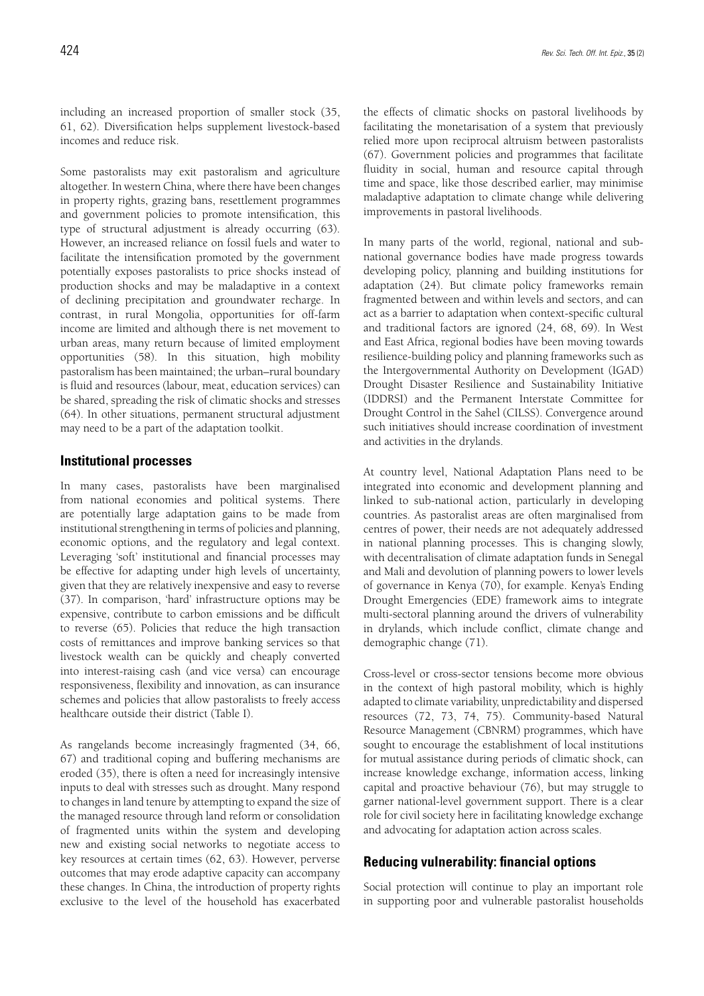including an increased proportion of smaller stock (35, 61, 62). Diversification helps supplement livestock-based incomes and reduce risk.

Some pastoralists may exit pastoralism and agriculture altogether. In western China, where there have been changes in property rights, grazing bans, resettlement programmes and government policies to promote intensification, this type of structural adjustment is already occurring (63). However, an increased reliance on fossil fuels and water to facilitate the intensification promoted by the government potentially exposes pastoralists to price shocks instead of production shocks and may be maladaptive in a context of declining precipitation and groundwater recharge. In contrast, in rural Mongolia, opportunities for off-farm income are limited and although there is net movement to urban areas, many return because of limited employment opportunities (58). In this situation, high mobility pastoralism has been maintained; the urban–rural boundary is fluid and resources (labour, meat, education services) can be shared, spreading the risk of climatic shocks and stresses (64). In other situations, permanent structural adjustment may need to be a part of the adaptation toolkit.

### **Institutional processes**

In many cases, pastoralists have been marginalised from national economies and political systems. There are potentially large adaptation gains to be made from institutional strengthening in terms of policies and planning, economic options, and the regulatory and legal context. Leveraging 'soft' institutional and financial processes may be effective for adapting under high levels of uncertainty, given that they are relatively inexpensive and easy to reverse (37). In comparison, 'hard' infrastructure options may be expensive, contribute to carbon emissions and be difficult to reverse (65). Policies that reduce the high transaction costs of remittances and improve banking services so that livestock wealth can be quickly and cheaply converted into interest-raising cash (and vice versa) can encourage responsiveness, flexibility and innovation, as can insurance schemes and policies that allow pastoralists to freely access healthcare outside their district (Table I).

As rangelands become increasingly fragmented (34, 66, 67) and traditional coping and buffering mechanisms are eroded (35), there is often a need for increasingly intensive inputs to deal with stresses such as drought. Many respond to changes in land tenure by attempting to expand the size of the managed resource through land reform or consolidation of fragmented units within the system and developing new and existing social networks to negotiate access to key resources at certain times (62, 63). However, perverse outcomes that may erode adaptive capacity can accompany these changes. In China, the introduction of property rights exclusive to the level of the household has exacerbated

the effects of climatic shocks on pastoral livelihoods by facilitating the monetarisation of a system that previously relied more upon reciprocal altruism between pastoralists (67). Government policies and programmes that facilitate fluidity in social, human and resource capital through time and space, like those described earlier, may minimise maladaptive adaptation to climate change while delivering improvements in pastoral livelihoods.

In many parts of the world, regional, national and subnational governance bodies have made progress towards developing policy, planning and building institutions for adaptation (24). But climate policy frameworks remain fragmented between and within levels and sectors, and can act as a barrier to adaptation when context-specific cultural and traditional factors are ignored (24, 68, 69). In West and East Africa, regional bodies have been moving towards resilience-building policy and planning frameworks such as the Intergovernmental Authority on Development (IGAD) Drought Disaster Resilience and Sustainability Initiative (IDDRSI) and the Permanent Interstate Committee for Drought Control in the Sahel (CILSS). Convergence around such initiatives should increase coordination of investment and activities in the drylands.

At country level, National Adaptation Plans need to be integrated into economic and development planning and linked to sub-national action, particularly in developing countries. As pastoralist areas are often marginalised from centres of power, their needs are not adequately addressed in national planning processes. This is changing slowly, with decentralisation of climate adaptation funds in Senegal and Mali and devolution of planning powers to lower levels of governance in Kenya (70), for example. Kenya's Ending Drought Emergencies (EDE) framework aims to integrate multi-sectoral planning around the drivers of vulnerability in drylands, which include conflict, climate change and demographic change (71).

Cross-level or cross-sector tensions become more obvious in the context of high pastoral mobility, which is highly adapted to climate variability, unpredictability and dispersed resources (72, 73, 74, 75). Community-based Natural Resource Management (CBNRM) programmes, which have sought to encourage the establishment of local institutions for mutual assistance during periods of climatic shock, can increase knowledge exchange, information access, linking capital and proactive behaviour (76), but may struggle to garner national-level government support. There is a clear role for civil society here in facilitating knowledge exchange and advocating for adaptation action across scales.

### **Reducing vulnerability: financial options**

Social protection will continue to play an important role in supporting poor and vulnerable pastoralist households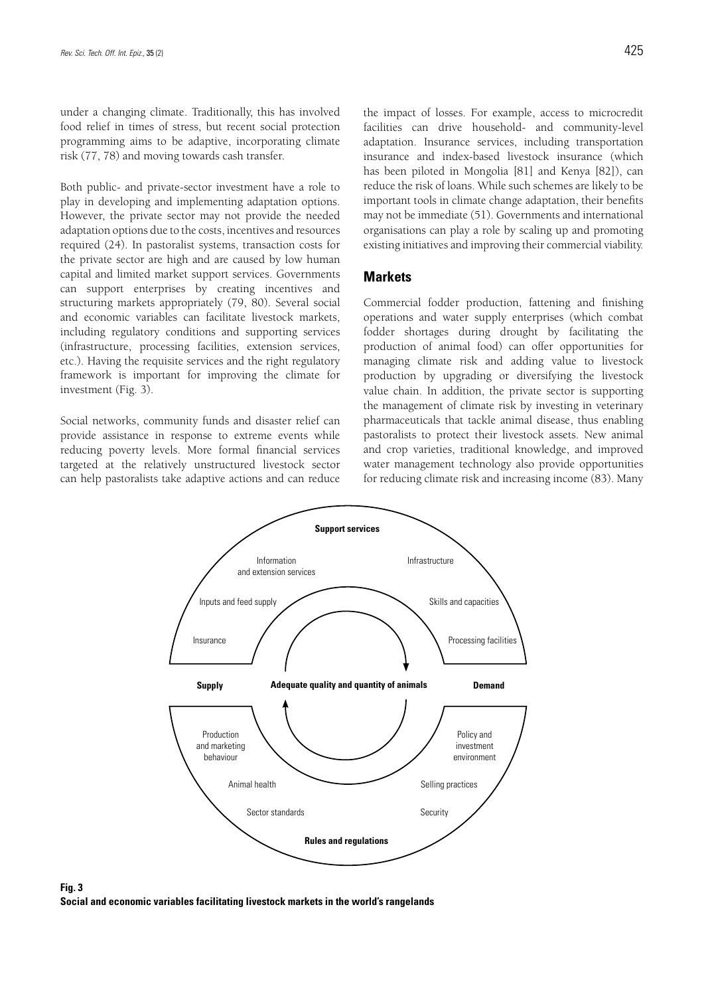under a changing climate. Traditionally, this has involved food relief in times of stress, but recent social protection programming aims to be adaptive, incorporating climate risk (77, 78) and moving towards cash transfer.

Both public- and private-sector investment have a role to play in developing and implementing adaptation options. However, the private sector may not provide the needed adaptation options due to the costs, incentives and resources required (24). In pastoralist systems, transaction costs for the private sector are high and are caused by low human capital and limited market support services. Governments can support enterprises by creating incentives and structuring markets appropriately (79, 80). Several social and economic variables can facilitate livestock markets, including regulatory conditions and supporting services (infrastructure, processing facilities, extension services, etc.). Having the requisite services and the right regulatory framework is important for improving the climate for investment (Fig. 3).

Social networks, community funds and disaster relief can provide assistance in response to extreme events while reducing poverty levels. More formal financial services targeted at the relatively unstructured livestock sector can help pastoralists take adaptive actions and can reduce the impact of losses. For example, access to microcredit facilities can drive household- and community-level adaptation. Insurance services, including transportation insurance and index-based livestock insurance (which has been piloted in Mongolia [81] and Kenya [82]), can reduce the risk of loans. While such schemes are likely to be important tools in climate change adaptation, their benefits may not be immediate (51). Governments and international organisations can play a role by scaling up and promoting existing initiatives and improving their commercial viability.

### **Markets**

Commercial fodder production, fattening and finishing operations and water supply enterprises (which combat fodder shortages during drought by facilitating the production of animal food) can offer opportunities for managing climate risk and adding value to livestock production by upgrading or diversifying the livestock value chain. In addition, the private sector is supporting the management of climate risk by investing in veterinary pharmaceuticals that tackle animal disease, thus enabling pastoralists to protect their livestock assets. New animal and crop varieties, traditional knowledge, and improved water management technology also provide opportunities for reducing climate risk and increasing income (83). Many



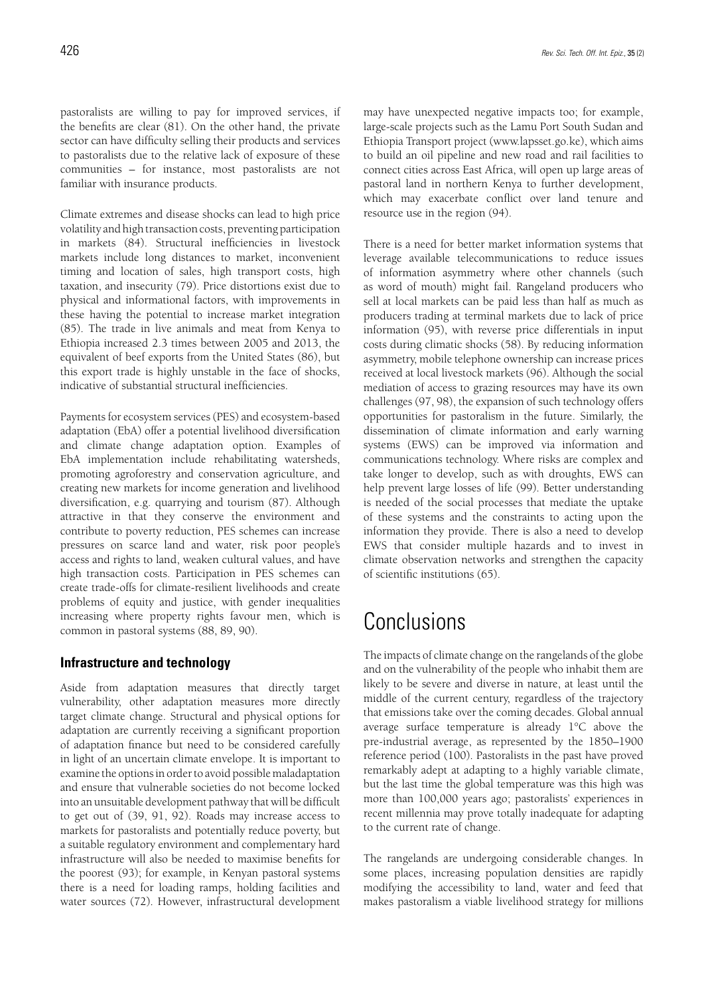pastoralists are willing to pay for improved services, if the benefits are clear (81). On the other hand, the private sector can have difficulty selling their products and services to pastoralists due to the relative lack of exposure of these communities – for instance, most pastoralists are not familiar with insurance products.

Climate extremes and disease shocks can lead to high price volatility and high transaction costs, preventing participation in markets (84). Structural inefficiencies in livestock markets include long distances to market, inconvenient timing and location of sales, high transport costs, high taxation, and insecurity (79). Price distortions exist due to physical and informational factors, with improvements in these having the potential to increase market integration (85). The trade in live animals and meat from Kenya to Ethiopia increased 2.3 times between 2005 and 2013, the equivalent of beef exports from the United States (86), but this export trade is highly unstable in the face of shocks, indicative of substantial structural inefficiencies.

Payments for ecosystem services (PES) and ecosystem-based adaptation (EbA) offer a potential livelihood diversification and climate change adaptation option. Examples of EbA implementation include rehabilitating watersheds, promoting agroforestry and conservation agriculture, and creating new markets for income generation and livelihood diversification, e.g. quarrying and tourism (87). Although attractive in that they conserve the environment and contribute to poverty reduction, PES schemes can increase pressures on scarce land and water, risk poor people's access and rights to land, weaken cultural values, and have high transaction costs. Participation in PES schemes can create trade-offs for climate-resilient livelihoods and create problems of equity and justice, with gender inequalities increasing where property rights favour men, which is common in pastoral systems (88, 89, 90).

### **Infrastructure and technology**

Aside from adaptation measures that directly target vulnerability, other adaptation measures more directly target climate change. Structural and physical options for adaptation are currently receiving a significant proportion of adaptation finance but need to be considered carefully in light of an uncertain climate envelope. It is important to examine the options in order to avoid possible maladaptation and ensure that vulnerable societies do not become locked into an unsuitable development pathway that will be difficult to get out of (39, 91, 92). Roads may increase access to markets for pastoralists and potentially reduce poverty, but a suitable regulatory environment and complementary hard infrastructure will also be needed to maximise benefits for the poorest (93); for example, in Kenyan pastoral systems there is a need for loading ramps, holding facilities and water sources (72). However, infrastructural development

may have unexpected negative impacts too; for example, large-scale projects such as the Lamu Port South Sudan and Ethiopia Transport project (www.lapsset.go.ke), which aims to build an oil pipeline and new road and rail facilities to connect cities across East Africa, will open up large areas of pastoral land in northern Kenya to further development, which may exacerbate conflict over land tenure and resource use in the region (94).

There is a need for better market information systems that leverage available telecommunications to reduce issues of information asymmetry where other channels (such as word of mouth) might fail. Rangeland producers who sell at local markets can be paid less than half as much as producers trading at terminal markets due to lack of price information (95), with reverse price differentials in input costs during climatic shocks (58). By reducing information asymmetry, mobile telephone ownership can increase prices received at local livestock markets (96). Although the social mediation of access to grazing resources may have its own challenges (97, 98), the expansion of such technology offers opportunities for pastoralism in the future. Similarly, the dissemination of climate information and early warning systems (EWS) can be improved via information and communications technology. Where risks are complex and take longer to develop, such as with droughts, EWS can help prevent large losses of life (99). Better understanding is needed of the social processes that mediate the uptake of these systems and the constraints to acting upon the information they provide. There is also a need to develop EWS that consider multiple hazards and to invest in climate observation networks and strengthen the capacity of scientific institutions (65).

## **Conclusions**

The impacts of climate change on the rangelands of the globe and on the vulnerability of the people who inhabit them are likely to be severe and diverse in nature, at least until the middle of the current century, regardless of the trajectory that emissions take over the coming decades. Global annual average surface temperature is already 1°C above the pre-industrial average, as represented by the 1850–1900 reference period (100). Pastoralists in the past have proved remarkably adept at adapting to a highly variable climate, but the last time the global temperature was this high was more than 100,000 years ago; pastoralists' experiences in recent millennia may prove totally inadequate for adapting to the current rate of change.

The rangelands are undergoing considerable changes. In some places, increasing population densities are rapidly modifying the accessibility to land, water and feed that makes pastoralism a viable livelihood strategy for millions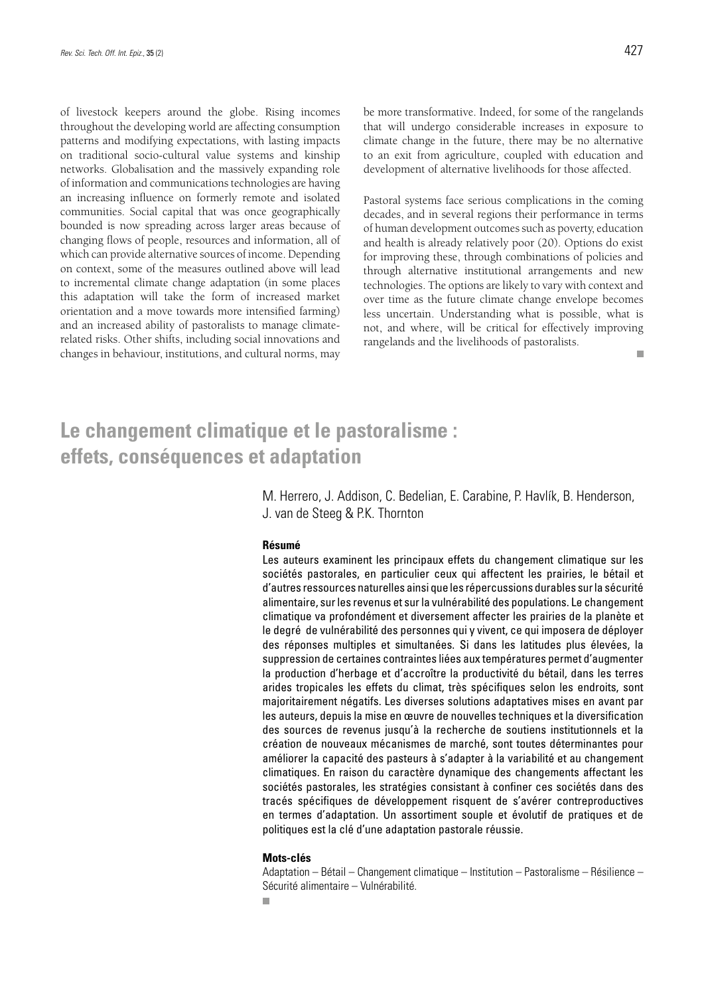of livestock keepers around the globe. Rising incomes throughout the developing world are affecting consumption patterns and modifying expectations, with lasting impacts on traditional socio-cultural value systems and kinship networks. Globalisation and the massively expanding role of information and communications technologies are having an increasing influence on formerly remote and isolated communities. Social capital that was once geographically bounded is now spreading across larger areas because of changing flows of people, resources and information, all of which can provide alternative sources of income. Depending on context, some of the measures outlined above will lead to incremental climate change adaptation (in some places this adaptation will take the form of increased market orientation and a move towards more intensified farming) and an increased ability of pastoralists to manage climaterelated risks. Other shifts, including social innovations and changes in behaviour, institutions, and cultural norms, may

be more transformative. Indeed, for some of the rangelands that will undergo considerable increases in exposure to climate change in the future, there may be no alternative to an exit from agriculture, coupled with education and development of alternative livelihoods for those affected.

Pastoral systems face serious complications in the coming decades, and in several regions their performance in terms of human development outcomes such as poverty, education and health is already relatively poor (20). Options do exist for improving these, through combinations of policies and through alternative institutional arrangements and new technologies. The options are likely to vary with context and over time as the future climate change envelope becomes less uncertain. Understanding what is possible, what is not, and where, will be critical for effectively improving rangelands and the livelihoods of pastoralists.  $\mathcal{C}^{\mathcal{A}}$ 

## **Le changement climatique et le pastoralisme : effets, conséquences et adaptation**

M. Herrero, J. Addison, C. Bedelian, E. Carabine, P. Havlík, B. Henderson, J. van de Steeg & P.K. Thornton

#### **Résumé**

Les auteurs examinent les principaux effets du changement climatique sur les sociétés pastorales, en particulier ceux qui affectent les prairies, le bétail et d'autres ressources naturelles ainsi que les répercussions durables sur la sécurité alimentaire, sur les revenus et sur la vulnérabilité des populations. Le changement climatique va profondément et diversement affecter les prairies de la planète et le degré de vulnérabilité des personnes qui y vivent, ce qui imposera de déployer des réponses multiples et simultanées. Si dans les latitudes plus élevées, la suppression de certaines contraintes liées aux températures permet d'augmenter la production d'herbage et d'accroître la productivité du bétail, dans les terres arides tropicales les effets du climat, très spécifiques selon les endroits, sont majoritairement négatifs. Les diverses solutions adaptatives mises en avant par les auteurs, depuis la mise en œuvre de nouvelles techniques et la diversification des sources de revenus jusqu'à la recherche de soutiens institutionnels et la création de nouveaux mécanismes de marché, sont toutes déterminantes pour améliorer la capacité des pasteurs à s'adapter à la variabilité et au changement climatiques. En raison du caractère dynamique des changements affectant les sociétés pastorales, les stratégies consistant à confiner ces sociétés dans des tracés spécifiques de développement risquent de s'avérer contreproductives en termes d'adaptation. Un assortiment souple et évolutif de pratiques et de politiques est la clé d'une adaptation pastorale réussie.

#### **Mots-clés**

Adaptation – Bétail – Changement climatique – Institution – Pastoralisme – Résilience – Sécurité alimentaire – Vulnérabilité.

r.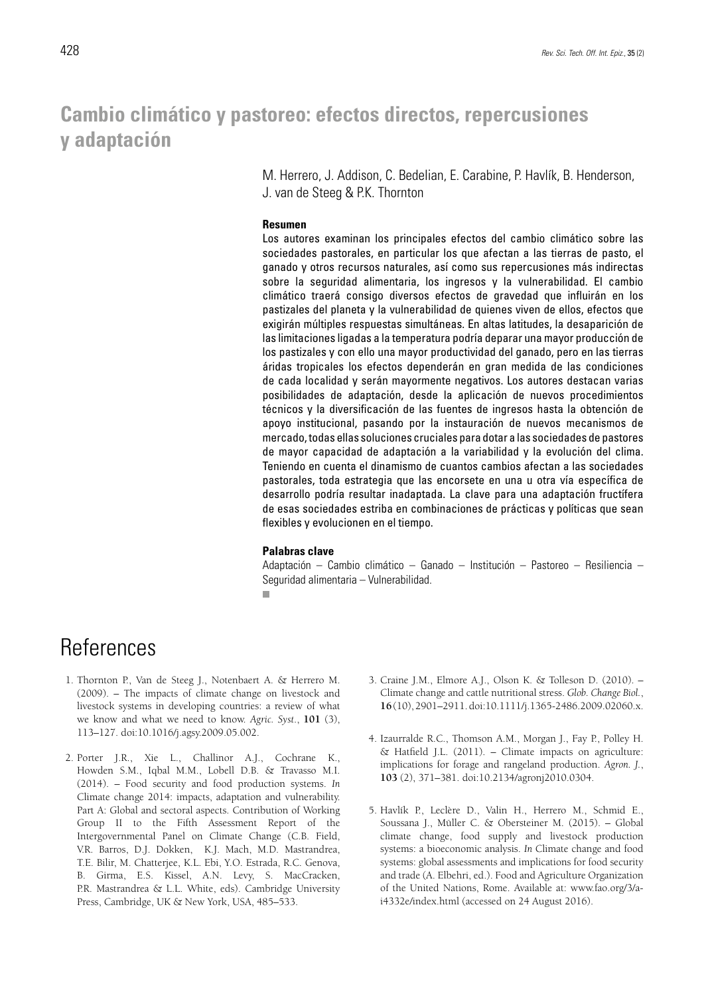## **Cambio climático y pastoreo: efectos directos, repercusiones y adaptación**

M. Herrero, J. Addison, C. Bedelian, E. Carabine, P. Havlík, B. Henderson, J. van de Steeg & P.K. Thornton

#### **Resumen**

Los autores examinan los principales efectos del cambio climático sobre las sociedades pastorales, en particular los que afectan a las tierras de pasto, el ganado y otros recursos naturales, así como sus repercusiones más indirectas sobre la seguridad alimentaria, los ingresos y la vulnerabilidad. El cambio climático traerá consigo diversos efectos de gravedad que influirán en los pastizales del planeta y la vulnerabilidad de quienes viven de ellos, efectos que exigirán múltiples respuestas simultáneas. En altas latitudes, la desaparición de las limitaciones ligadas a la temperatura podría deparar una mayor producción de los pastizales y con ello una mayor productividad del ganado, pero en las tierras áridas tropicales los efectos dependerán en gran medida de las condiciones de cada localidad y serán mayormente negativos. Los autores destacan varias posibilidades de adaptación, desde la aplicación de nuevos procedimientos técnicos y la diversificación de las fuentes de ingresos hasta la obtención de apoyo institucional, pasando por la instauración de nuevos mecanismos de mercado, todas ellas soluciones cruciales para dotar a las sociedades de pastores de mayor capacidad de adaptación a la variabilidad y la evolución del clima. Teniendo en cuenta el dinamismo de cuantos cambios afectan a las sociedades pastorales, toda estrategia que las encorsete en una u otra vía específica de desarrollo podría resultar inadaptada. La clave para una adaptación fructífera de esas sociedades estriba en combinaciones de prácticas y políticas que sean flexibles y evolucionen en el tiempo.

#### **Palabras clave**

Adaptación – Cambio climático – Ganado – Institución – Pastoreo – Resiliencia – Seguridad alimentaria – Vulnerabilidad.  $\overline{\phantom{a}}$ 

## **References**

- 1. Thornton P., Van de Steeg J., Notenbaert A. & Herrero M. (2009). – The impacts of climate change on livestock and livestock systems in developing countries: a review of what we know and what we need to know. *Agric. Syst*., **101** (3), 113–127. doi:10.1016/j.agsy.2009.05.002.
- 2. Porter J.R., Xie L., Challinor A.J., Cochrane K., Howden S.M., Iqbal M.M., Lobell D.B. & Travasso M.I. (2014). – Food security and food production systems. *In* Climate change 2014: impacts, adaptation and vulnerability. Part A: Global and sectoral aspects. Contribution of Working Group II to the Fifth Assessment Report of the Intergovernmental Panel on Climate Change (C.B. Field, V.R. Barros, D.J. Dokken, K.J. Mach, M.D. Mastrandrea, T.E. Bilir, M. Chatterjee, K.L. Ebi, Y.O. Estrada, R.C. Genova, B. Girma, E.S. Kissel, A.N. Levy, S. MacCracken, P.R. Mastrandrea & L.L. White, eds). Cambridge University Press, Cambridge, UK & New York, USA, 485–533.
- 3. Craine J.M., Elmore A.J., Olson K. & Tolleson D. (2010). Climate change and cattle nutritional stress. *Glob. Change Biol.*, **16** (10), 2901–2911. doi:10.1111/j.1365-2486.2009.02060.x.
- 4. Izaurralde R.C., Thomson A.M., Morgan J., Fay P., Polley H. & Hatfield J.L. (2011). – Climate impacts on agriculture: implications for forage and rangeland production. *Agron. J.*, **103** (2), 371–381. doi:10.2134/agronj2010.0304.
- 5. Havlík P., Leclère D., Valin H., Herrero M., Schmid E., Soussana J., Müller C. & Obersteiner M. (2015). – Global climate change, food supply and livestock production systems: a bioeconomic analysis. *In* Climate change and food systems: global assessments and implications for food security and trade (A. Elbehri, ed.). Food and Agriculture Organization of the United Nations, Rome. Available at: www.fao.org/3/ai4332e/index.html (accessed on 24 August 2016).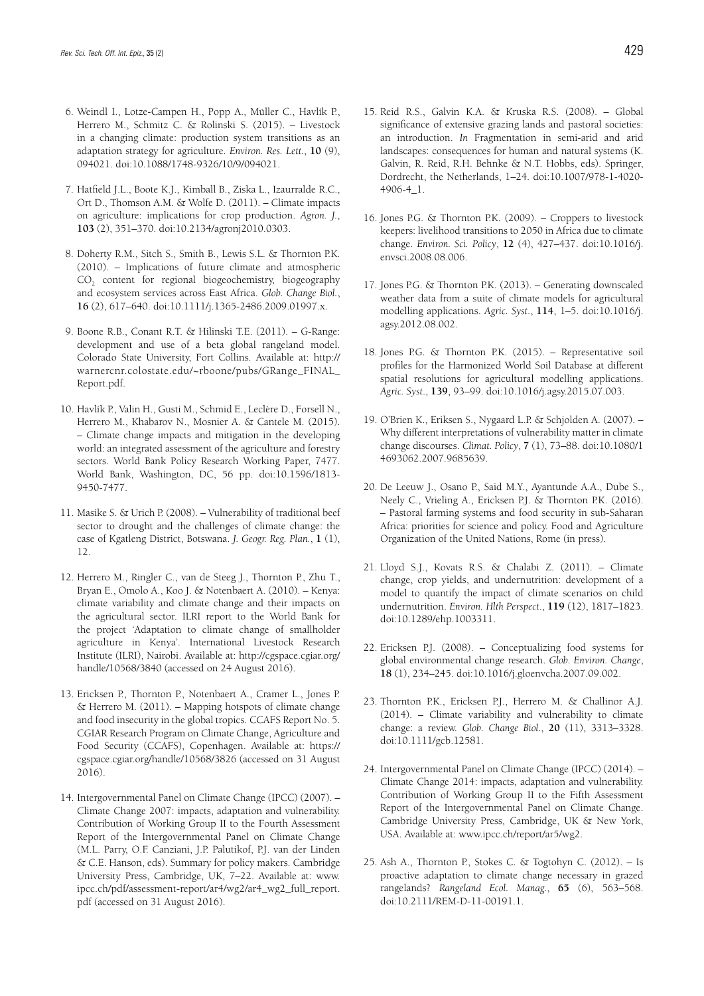- 6. Weindl I., Lotze-Campen H., Popp A., Müller C., Havlík P., Herrero M., Schmitz C. & Rolinski S. (2015). – Livestock in a changing climate: production system transitions as an adaptation strategy for agriculture. *Environ. Res. Lett.*, **10** (9), 094021. doi:10.1088/1748-9326/10/9/094021.
- 7. Hatfield J.L., Boote K.J., Kimball B., Ziska L., Izaurralde R.C., Ort D., Thomson A.M. & Wolfe D. (2011). – Climate impacts on agriculture: implications for crop production. *Agron. J.*, **103** (2), 351–370. doi:10.2134/agronj2010.0303.
- 8. Doherty R.M., Sitch S., Smith B., Lewis S.L. & Thornton P.K. (2010). – Implications of future climate and atmospheric CO<sub>2</sub> content for regional biogeochemistry, biogeography and ecosystem services across East Africa. *Glob. Change Biol.*, **16** (2), 617–640. doi:10.1111/j.1365-2486.2009.01997.x.
- 9. Boone R.B., Conant R.T. & Hilinski T.E. (2011). G-Range: development and use of a beta global rangeland model. Colorado State University, Fort Collins. Available at: http:// warnercnr.colostate.edu/~rboone/pubs/GRange\_FINAL\_ Report.pdf.
- 10. Havlík P., Valin H., Gusti M., Schmid E., Leclère D., Forsell N., Herrero M., Khabarov N., Mosnier A. & Cantele M. (2015). – Climate change impacts and mitigation in the developing world: an integrated assessment of the agriculture and forestry sectors. World Bank Policy Research Working Paper, 7477. World Bank, Washington, DC, 56 pp. doi:10.1596/1813- 9450-7477.
- 11. Masike S. & Urich P. (2008). Vulnerability of traditional beef sector to drought and the challenges of climate change: the case of Kgatleng District, Botswana. *J. Geogr. Reg. Plan.*, **1** (1), 12.
- 12. Herrero M., Ringler C., van de Steeg J., Thornton P., Zhu T., Bryan E., Omolo A., Koo J. & Notenbaert A. (2010). – Kenya: climate variability and climate change and their impacts on the agricultural sector. ILRI report to the World Bank for the project 'Adaptation to climate change of smallholder agriculture in Kenya'. International Livestock Research Institute (ILRI), Nairobi. Available at: http://cgspace.cgiar.org/ handle/10568/3840 (accessed on 24 August 2016).
- 13. Ericksen P., Thornton P., Notenbaert A., Cramer L., Jones P. & Herrero M. (2011). – Mapping hotspots of climate change and food insecurity in the global tropics. CCAFS Report No. 5. CGIAR Research Program on Climate Change, Agriculture and Food Security (CCAFS), Copenhagen. Available at: https:// cgspace.cgiar.org/handle/10568/3826 (accessed on 31 August 2016).
- 14. Intergovernmental Panel on Climate Change (IPCC) (2007). Climate Change 2007: impacts, adaptation and vulnerability. Contribution of Working Group II to the Fourth Assessment Report of the Intergovernmental Panel on Climate Change (M.L. Parry, O.F. Canziani, J.P. Palutikof, P.J. van der Linden & C.E. Hanson, eds). Summary for policy makers. Cambridge University Press, Cambridge, UK, 7–22. Available at: www. ipcc.ch/pdf/assessment-report/ar4/wg2/ar4\_wg2\_full\_report. pdf (accessed on 31 August 2016).
- 15. Reid R.S., Galvin K.A. & Kruska R.S. (2008). Global significance of extensive grazing lands and pastoral societies: an introduction. *In* Fragmentation in semi-arid and arid landscapes: consequences for human and natural systems (K. Galvin, R. Reid, R.H. Behnke & N.T. Hobbs, eds). Springer, Dordrecht, the Netherlands, 1–24. doi:10.1007/978-1-4020- 4906-4\_1.
- 16. Jones P.G. & Thornton P.K. (2009). Croppers to livestock keepers: livelihood transitions to 2050 in Africa due to climate change. *Environ. Sci. Policy*, **12** (4), 427–437. doi:10.1016/j. envsci.2008.08.006.
- 17. Jones P.G. & Thornton P.K. (2013). Generating downscaled weather data from a suite of climate models for agricultural modelling applications. *Agric. Syst*., **114**, 1–5. doi:10.1016/j. agsy.2012.08.002.
- 18. Jones P.G. & Thornton P.K. (2015). Representative soil profiles for the Harmonized World Soil Database at different spatial resolutions for agricultural modelling applications. *Agric. Syst*., **139**, 93–99. doi:10.1016/j.agsy.2015.07.003.
- 19. O'Brien K., Eriksen S., Nygaard L.P. & Schjolden A. (2007). Why different interpretations of vulnerability matter in climate change discourses. *Climat. Policy*, **7** (1), 73–88. doi:10.1080/1 4693062.2007.9685639.
- 20. De Leeuw J., Osano P., Said M.Y., Ayantunde A.A., Dube S., Neely C., Vrieling A., Ericksen P.J. & Thornton P.K. (2016). – Pastoral farming systems and food security in sub-Saharan Africa: priorities for science and policy. Food and Agriculture Organization of the United Nations, Rome (in press).
- 21. Lloyd S.J., Kovats R.S. & Chalabi Z. (2011). Climate change, crop yields, and undernutrition: development of a model to quantify the impact of climate scenarios on child undernutrition. *Environ. Hlth Perspect*., **119** (12), 1817–1823. doi:10.1289/ehp.1003311.
- 22. Ericksen P.J. (2008). Conceptualizing food systems for global environmental change research. *Glob. Environ. Change*, **18** (1), 234–245. doi:10.1016/j.gloenvcha.2007.09.002.
- 23. Thornton P.K., Ericksen P.J., Herrero M. & Challinor A.J. (2014). – Climate variability and vulnerability to climate change: a review. *Glob. Change Biol.*, **20** (11), 3313–3328. doi:10.1111/gcb.12581.
- 24. Intergovernmental Panel on Climate Change (IPCC) (2014). Climate Change 2014: impacts, adaptation and vulnerability. Contribution of Working Group II to the Fifth Assessment Report of the Intergovernmental Panel on Climate Change. Cambridge University Press, Cambridge, UK & New York, USA. Available at: www.ipcc.ch/report/ar5/wg2.
- 25. Ash A., Thornton P., Stokes C. & Togtohyn C. (2012). Is proactive adaptation to climate change necessary in grazed rangelands? *Rangeland Ecol. Manag.*, **65** (6), 563–568. doi:10.2111/REM-D-11-00191.1.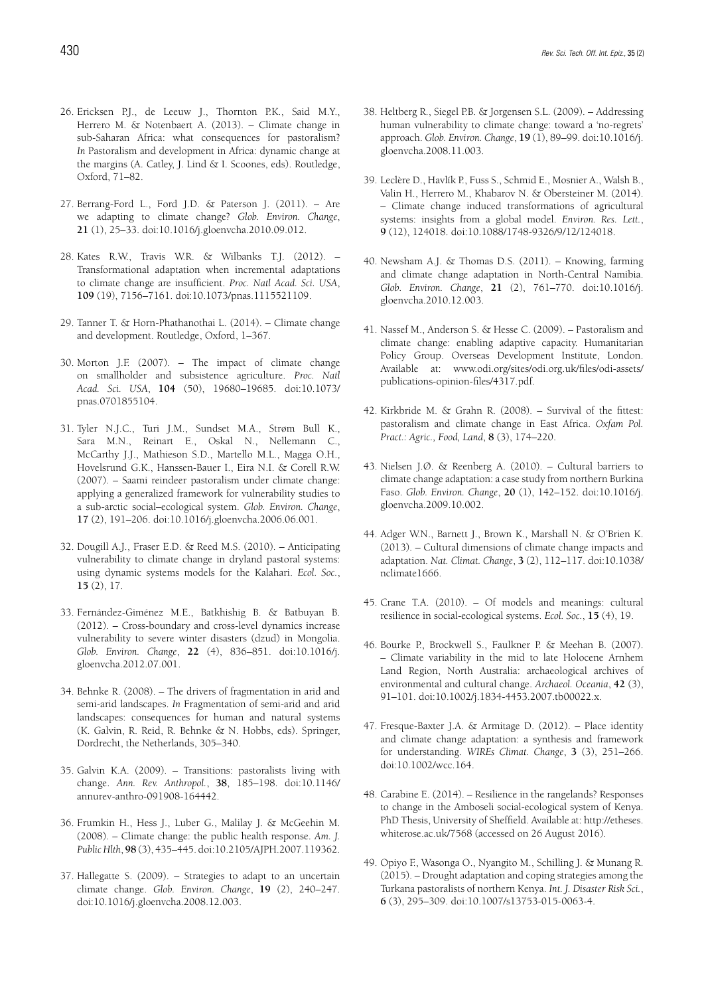- 26. Ericksen P.J., de Leeuw J., Thornton P.K., Said M.Y., Herrero M. & Notenbaert A. (2013). – Climate change in sub-Saharan Africa: what consequences for pastoralism? *In* Pastoralism and development in Africa: dynamic change at the margins (A. Catley, J. Lind & I. Scoones, eds). Routledge, Oxford, 71–82.
- 27. Berrang-Ford L., Ford J.D. & Paterson J. (2011). Are we adapting to climate change? *Glob. Environ. Change*, **21** (1), 25–33. doi:10.1016/j.gloenvcha.2010.09.012.
- 28. Kates R.W., Travis W.R. & Wilbanks T.J. (2012). Transformational adaptation when incremental adaptations to climate change are insufficient. *Proc. Natl Acad. Sci. USA*, **109** (19), 7156–7161. doi:10.1073/pnas.1115521109.
- 29. Tanner T. & Horn-Phathanothai L. (2014). Climate change and development. Routledge, Oxford, 1–367.
- 30. Morton J.F. (2007). The impact of climate change on smallholder and subsistence agriculture. *Proc. Natl Acad. Sci. USA*, **104** (50), 19680–19685. doi:10.1073/ pnas.0701855104.
- 31. Tyler N.J.C., Turi J.M., Sundset M.A., Strøm Bull K., Sara M.N., Reinart E., Oskal N., Nellemann C., McCarthy J.J., Mathieson S.D., Martello M.L., Magga O.H., Hovelsrund G.K., Hanssen-Bauer I., Eira N.I. & Corell R.W. (2007). – Saami reindeer pastoralism under climate change: applying a generalized framework for vulnerability studies to a sub-arctic social–ecological system. *Glob. Environ. Change*, **17** (2), 191–206. doi:10.1016/j.gloenvcha.2006.06.001.
- 32. Dougill A.J., Fraser E.D. & Reed M.S. (2010). Anticipating vulnerability to climate change in dryland pastoral systems: using dynamic systems models for the Kalahari. *Ecol. Soc.*, **15** (2), 17.
- 33. Fernández-Giménez M.E., Batkhishig B. & Batbuyan B. (2012). – Cross-boundary and cross-level dynamics increase vulnerability to severe winter disasters (dzud) in Mongolia. *Glob. Environ. Change*, **22** (4), 836–851. doi:10.1016/j. gloenvcha.2012.07.001.
- 34. Behnke R. (2008). The drivers of fragmentation in arid and semi-arid landscapes. *In* Fragmentation of semi-arid and arid landscapes: consequences for human and natural systems (K. Galvin, R. Reid, R. Behnke & N. Hobbs, eds). Springer, Dordrecht, the Netherlands, 305–340.
- 35. Galvin K.A. (2009). Transitions: pastoralists living with change. *Ann. Rev. Anthropol.*, **38**, 185–198. doi:10.1146/ annurev-anthro-091908-164442.
- 36. Frumkin H., Hess J., Luber G., Malilay J. & McGeehin M. (2008). – Climate change: the public health response. *Am. J. Public Hlth*, **98** (3), 435–445. doi:10.2105/AJPH.2007.119362.
- 37. Hallegatte S. (2009). Strategies to adapt to an uncertain climate change. *Glob. Environ. Change*, **19** (2), 240–247. doi:10.1016/j.gloenvcha.2008.12.003.
- 38. Heltberg R., Siegel P.B. & Jorgensen S.L. (2009). Addressing human vulnerability to climate change: toward a 'no-regrets' approach. *Glob. Environ. Change*, **19** (1), 89–99. doi:10.1016/j. gloenvcha.2008.11.003.
- 39. Leclère D., Havlík P., Fuss S., Schmid E., Mosnier A., Walsh B., Valin H., Herrero M., Khabarov N. & Obersteiner M. (2014). – Climate change induced transformations of agricultural systems: insights from a global model. *Environ. Res. Lett.*, **9** (12), 124018. doi:10.1088/1748-9326/9/12/124018.
- 40. Newsham A.J. & Thomas D.S. (2011). Knowing, farming and climate change adaptation in North-Central Namibia. *Glob. Environ. Change*, **21** (2), 761–770. doi:10.1016/j. gloenvcha.2010.12.003.
- 41. Nassef M., Anderson S. & Hesse C. (2009). Pastoralism and climate change: enabling adaptive capacity. Humanitarian Policy Group. Overseas Development Institute, London. Available at: www.odi.org/sites/odi.org.uk/files/odi-assets/ publications-opinion-files/4317.pdf.
- 42. Kirkbride M. & Grahn R. (2008). Survival of the fittest: pastoralism and climate change in East Africa. *Oxfam Pol. Pract.: Agric., Food, Land*, **8** (3), 174–220.
- 43. Nielsen J.Ø. & Reenberg A. (2010). Cultural barriers to climate change adaptation: a case study from northern Burkina Faso. *Glob. Environ. Change*, **20** (1), 142–152. doi:10.1016/j. gloenvcha.2009.10.002.
- 44. Adger W.N., Barnett J., Brown K., Marshall N. & O'Brien K. (2013). – Cultural dimensions of climate change impacts and adaptation. *Nat. Climat. Change*, **3** (2), 112–117. doi:10.1038/ nclimate1666.
- 45. Crane T.A. (2010). Of models and meanings: cultural resilience in social-ecological systems. *Ecol. Soc.*, **15** (4), 19.
- 46. Bourke P., Brockwell S., Faulkner P. & Meehan B. (2007). – Climate variability in the mid to late Holocene Arnhem Land Region, North Australia: archaeological archives of environmental and cultural change. *Archaeol. Oceania*, **42** (3), 91–101. doi:10.1002/j.1834-4453.2007.tb00022.x.
- 47. Fresque-Baxter J.A. & Armitage D. (2012). Place identity and climate change adaptation: a synthesis and framework for understanding. *WIREs Climat. Change*, **3** (3), 251–266. doi:10.1002/wcc.164.
- 48. Carabine E. (2014). Resilience in the rangelands? Responses to change in the Amboseli social-ecological system of Kenya. PhD Thesis, University of Sheffield. Available at: http://etheses. whiterose.ac.uk/7568 (accessed on 26 August 2016).
- 49. Opiyo F., Wasonga O., Nyangito M., Schilling J. & Munang R. (2015). – Drought adaptation and coping strategies among the Turkana pastoralists of northern Kenya. *Int. J. Disaster Risk Sci.*, **6** (3), 295–309. doi:10.1007/s13753-015-0063-4.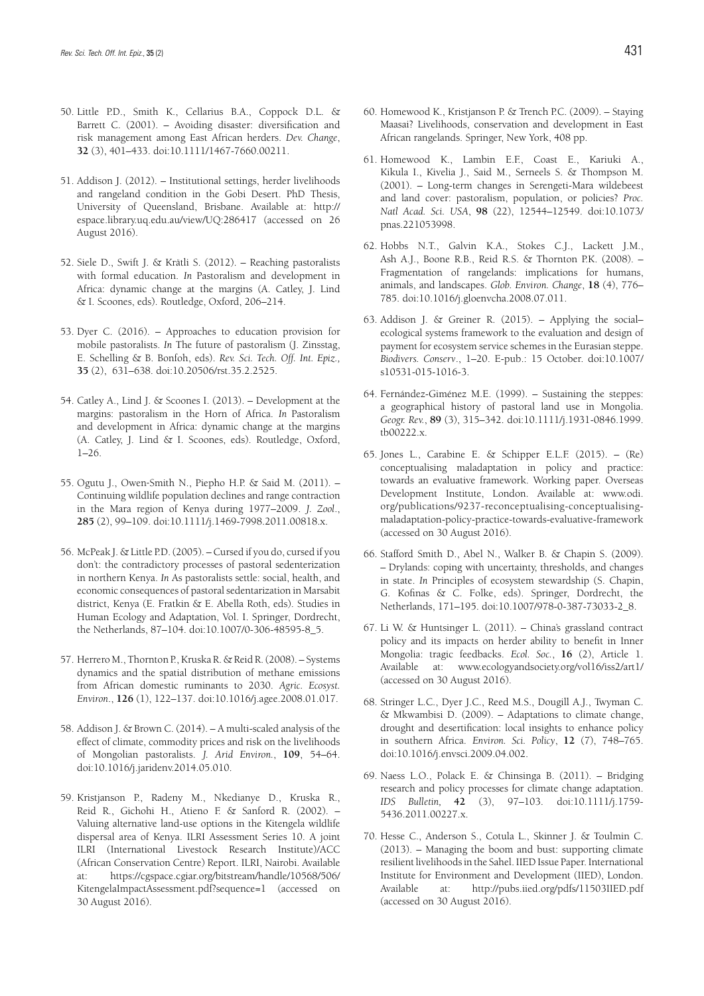- 50. Little P.D., Smith K., Cellarius B.A., Coppock D.L. & Barrett C. (2001). – Avoiding disaster: diversification and risk management among East African herders. *Dev. Change*, **32** (3), 401–433. doi:10.1111/1467-7660.00211.
- 51. Addison J. (2012). Institutional settings, herder livelihoods and rangeland condition in the Gobi Desert. PhD Thesis, University of Queensland, Brisbane. Available at: http:// espace.library.uq.edu.au/view/UQ:286417 (accessed on 26 August 2016).
- 52. Siele D., Swift J. & Krätli S. (2012). Reaching pastoralists with formal education. *In* Pastoralism and development in Africa: dynamic change at the margins (A. Catley, J. Lind & I. Scoones, eds). Routledge, Oxford, 206–214.
- 53. Dyer C. (2016). Approaches to education provision for mobile pastoralists. *In* The future of pastoralism (J. Zinsstag, E. Schelling & B. Bonfoh, eds). *Rev. Sci. Tech. Off. Int. Epiz.,*  **35** (2), 631–638. doi:10.20506/rst.35.2.2525.
- 54. Catley A., Lind J. & Scoones I. (2013). Development at the margins: pastoralism in the Horn of Africa. *In* Pastoralism and development in Africa: dynamic change at the margins (A. Catley, J. Lind & I. Scoones, eds). Routledge, Oxford,  $1-26$
- 55. Ogutu J., Owen-Smith N., Piepho H.P. & Said M. (2011). Continuing wildlife population declines and range contraction in the Mara region of Kenya during 1977–2009. *J. Zool*., **285** (2), 99–109. doi:10.1111/j.1469-7998.2011.00818.x.
- 56. McPeak J. & Little P.D. (2005). Cursed if you do, cursed if you don't: the contradictory processes of pastoral sedenterization in northern Kenya. *In* As pastoralists settle: social, health, and economic consequences of pastoral sedentarization in Marsabit district, Kenya (E. Fratkin & E. Abella Roth, eds). Studies in Human Ecology and Adaptation, Vol. I. Springer, Dordrecht, the Netherlands, 87–104. doi:10.1007/0-306-48595-8\_5.
- 57. Herrero M., Thornton P., Kruska R. & Reid R. (2008). Systems dynamics and the spatial distribution of methane emissions from African domestic ruminants to 2030. *Agric. Ecosyst. Environ*., **126** (1), 122–137. doi:10.1016/j.agee.2008.01.017.
- 58. Addison J. & Brown C. (2014). A multi-scaled analysis of the effect of climate, commodity prices and risk on the livelihoods of Mongolian pastoralists. *J. Arid Environ.*, **109**, 54–64. doi:10.1016/j.jaridenv.2014.05.010.
- 59. Kristjanson P., Radeny M., Nkedianye D., Kruska R., Reid R., Gichohi H., Atieno F. & Sanford R. (2002). – Valuing alternative land-use options in the Kitengela wildlife dispersal area of Kenya. ILRI Assessment Series 10. A joint ILRI (International Livestock Research Institute)/ACC (African Conservation Centre) Report. ILRI, Nairobi. Available at: https://cgspace.cgiar.org/bitstream/handle/10568/506/ KitengelaImpactAssessment.pdf?sequence=1 (accessed on 30 August 2016).
- 60. Homewood K., Kristjanson P. & Trench P.C. (2009). Staying Maasai? Livelihoods, conservation and development in East African rangelands. Springer, New York, 408 pp.
- 61. Homewood K., Lambin E.F., Coast E., Kariuki A., Kikula I., Kivelia J., Said M., Serneels S. & Thompson M. (2001). – Long-term changes in Serengeti-Mara wildebeest and land cover: pastoralism, population, or policies? *Proc. Natl Acad. Sci. USA*, **98** (22), 12544–12549. doi:10.1073/ pnas.221053998.
- 62. Hobbs N.T., Galvin K.A., Stokes C.J., Lackett J.M., Ash A.J., Boone R.B., Reid R.S. & Thornton P.K. (2008). – Fragmentation of rangelands: implications for humans, animals, and landscapes. *Glob. Environ. Change*, **18** (4), 776– 785. doi:10.1016/j.gloenvcha.2008.07.011.
- 63. Addison J. & Greiner R. (2015). Applying the social– ecological systems framework to the evaluation and design of payment for ecosystem service schemes in the Eurasian steppe. *Biodivers. Conserv*., 1–20. E-pub.: 15 October. doi:10.1007/ s10531-015-1016-3.
- 64. Fernández-Giménez M.E. (1999). Sustaining the steppes: a geographical history of pastoral land use in Mongolia. *Geogr. Rev.*, **89** (3), 315–342. doi:10.1111/j.1931-0846.1999. tb00222.x.
- 65. Jones L., Carabine E. & Schipper E.L.F. (2015). (Re) conceptualising maladaptation in policy and practice: towards an evaluative framework. Working paper. Overseas Development Institute, London. Available at: www.odi. org/publications/9237-reconceptualising-conceptualisingmaladaptation-policy-practice-towards-evaluative-framework (accessed on 30 August 2016).
- 66. Stafford Smith D., Abel N., Walker B. & Chapin S. (2009). – Drylands: coping with uncertainty, thresholds, and changes in state. *In* Principles of ecosystem stewardship (S. Chapin, G. Kofinas & C. Folke, eds). Springer, Dordrecht, the Netherlands, 171–195. doi:10.1007/978-0-387-73033-2\_8.
- 67. Li W. & Huntsinger L. (2011). China's grassland contract policy and its impacts on herder ability to benefit in Inner Mongolia: tragic feedbacks. *Ecol. Soc.*, **16** (2), Article 1. Available at: www.ecologyandsociety.org/vol16/iss2/art1/ (accessed on 30 August 2016).
- 68. Stringer L.C., Dyer J.C., Reed M.S., Dougill A.J., Twyman C. & Mkwambisi D. (2009). – Adaptations to climate change, drought and desertification: local insights to enhance policy in southern Africa. *Environ. Sci. Policy*, **12** (7), 748–765. doi:10.1016/j.envsci.2009.04.002.
- 69. Naess L.O., Polack E. & Chinsinga B. (2011). Bridging research and policy processes for climate change adaptation. *IDS Bulletin,* **42** (3), 97–103. doi:10.1111/j.1759- 5436.2011.00227.x.
- 70. Hesse C., Anderson S., Cotula L., Skinner J. & Toulmin C. (2013). – Managing the boom and bust: supporting climate resilient livelihoods in the Sahel. IIED Issue Paper. International Institute for Environment and Development (IIED), London. Available at: http://pubs.iied.org/pdfs/11503IIED.pdf (accessed on 30 August 2016).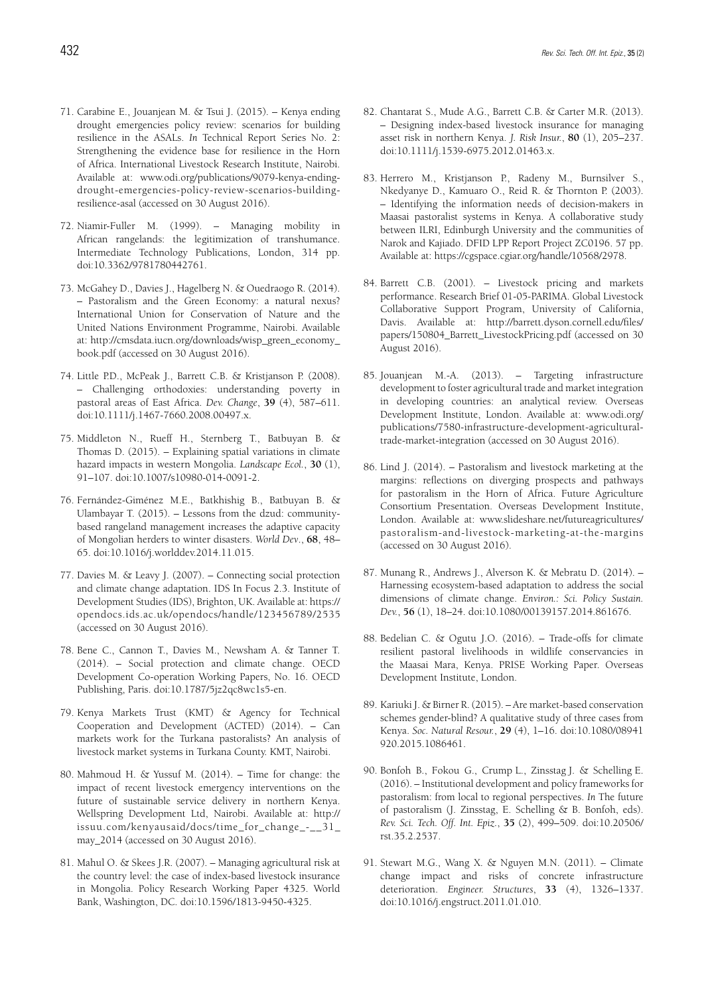- 71. Carabine E., Jouanjean M. & Tsui J. (2015). Kenya ending drought emergencies policy review: scenarios for building resilience in the ASALs. *In* Technical Report Series No. 2: Strengthening the evidence base for resilience in the Horn of Africa. International Livestock Research Institute, Nairobi. Available at: www.odi.org/publications/9079-kenya-endingdrought-emergencies-policy-review-scenarios-buildingresilience-asal (accessed on 30 August 2016).
- 72. Niamir-Fuller M. (1999). Managing mobility in African rangelands: the legitimization of transhumance. Intermediate Technology Publications, London, 314 pp. doi:10.3362/9781780442761.
- 73. McGahey D., Davies J., Hagelberg N. & Ouedraogo R. (2014). – Pastoralism and the Green Economy: a natural nexus? International Union for Conservation of Nature and the United Nations Environment Programme, Nairobi. Available at: http://cmsdata.iucn.org/downloads/wisp\_green\_economy\_ book.pdf (accessed on 30 August 2016).
- 74. Little P.D., McPeak J., Barrett C.B. & Kristjanson P. (2008). – Challenging orthodoxies: understanding poverty in pastoral areas of East Africa. *Dev. Change*, **39** (4), 587–611. doi:10.1111/j.1467-7660.2008.00497.x.
- 75. Middleton N., Rueff H., Sternberg T., Batbuyan B. & Thomas D. (2015). – Explaining spatial variations in climate hazard impacts in western Mongolia. *Landscape Ecol.*, **30** (1), 91–107. doi:10.1007/s10980-014-0091-2.
- 76. Fernández-Giménez M.E., Batkhishig B., Batbuyan B. & Ulambayar T. (2015). – Lessons from the dzud: communitybased rangeland management increases the adaptive capacity of Mongolian herders to winter disasters. *World Dev*., **68**, 48– 65. doi:10.1016/j.worlddev.2014.11.015.
- 77. Davies M. & Leavy J. (2007). Connecting social protection and climate change adaptation. IDS In Focus 2.3. Institute of Development Studies (IDS), Brighton, UK. Available at: https:// opendocs.ids.ac.uk/opendocs/handle/123456789/2535 (accessed on 30 August 2016).
- 78. Bene C., Cannon T., Davies M., Newsham A. & Tanner T. (2014). – Social protection and climate change. OECD Development Co-operation Working Papers, No. 16. OECD Publishing, Paris. doi:10.1787/5jz2qc8wc1s5-en.
- 79. Kenya Markets Trust (KMT) & Agency for Technical Cooperation and Development (ACTED) (2014). – Can markets work for the Turkana pastoralists? An analysis of livestock market systems in Turkana County. KMT, Nairobi.
- 80. Mahmoud H. & Yussuf M. (2014). Time for change: the impact of recent livestock emergency interventions on the future of sustainable service delivery in northern Kenya. Wellspring Development Ltd, Nairobi. Available at: http:// issuu.com/kenyausaid/docs/time\_for\_change\_-\_\_31\_ may 2014 (accessed on 30 August 2016).
- 81. Mahul O. & Skees J.R. (2007). Managing agricultural risk at the country level: the case of index-based livestock insurance in Mongolia. Policy Research Working Paper 4325. World Bank, Washington, DC. doi:10.1596/1813-9450-4325.
- 82. Chantarat S., Mude A.G., Barrett C.B. & Carter M.R. (2013). – Designing index-based livestock insurance for managing asset risk in northern Kenya. *J. Risk Insur.*, **80** (1), 205–237. doi:10.1111/j.1539-6975.2012.01463.x.
- 83. Herrero M., Kristjanson P., Radeny M., Burnsilver S., Nkedyanye D., Kamuaro O., Reid R. & Thornton P. (2003). – Identifying the information needs of decision-makers in Maasai pastoralist systems in Kenya. A collaborative study between ILRI, Edinburgh University and the communities of Narok and Kajiado. DFID LPP Report Project ZC0196. 57 pp. Available at: https://cgspace.cgiar.org/handle/10568/2978.
- 84. Barrett C.B. (2001). Livestock pricing and markets performance. Research Brief 01-05-PARIMA. Global Livestock Collaborative Support Program, University of California, Davis. Available at: http://barrett.dyson.cornell.edu/files/ papers/150804 Barrett LivestockPricing.pdf (accessed on 30 August 2016).
- 85. Jouanjean M.-A. (2013). Targeting infrastructure development to foster agricultural trade and market integration in developing countries: an analytical review. Overseas Development Institute, London. Available at: www.odi.org/ publications/7580-infrastructure-development-agriculturaltrade-market-integration (accessed on 30 August 2016).
- 86. Lind J. (2014). Pastoralism and livestock marketing at the margins: reflections on diverging prospects and pathways for pastoralism in the Horn of Africa. Future Agriculture Consortium Presentation. Overseas Development Institute, London. Available at: www.slideshare.net/futureagricultures/ pastoralism-and-livestock-marketing-at-the-margins (accessed on 30 August 2016).
- 87. Munang R., Andrews J., Alverson K. & Mebratu D. (2014). Harnessing ecosystem-based adaptation to address the social dimensions of climate change. *Environ.: Sci. Policy Sustain. Dev.*, **56** (1), 18–24. doi:10.1080/00139157.2014.861676.
- 88. Bedelian C. & Ogutu J.O. (2016). Trade-offs for climate resilient pastoral livelihoods in wildlife conservancies in the Maasai Mara, Kenya. PRISE Working Paper. Overseas Development Institute, London.
- 89. Kariuki J. & Birner R. (2015). Are market-based conservation schemes gender-blind? A qualitative study of three cases from Kenya. *Soc. Natural Resour.*, **29** (4), 1–16. doi:10.1080/08941 920.2015.1086461.
- 90. Bonfoh B., Fokou G., Crump L., Zinsstag J. & Schelling E. (2016). – Institutional development and policy frameworks for pastoralism: from local to regional perspectives. *In* The future of pastoralism (J. Zinsstag, E. Schelling & B. Bonfoh, eds). *Rev. Sci. Tech. Off. Int. Epiz.*, **35** (2), 499–509. doi:10.20506/ rst.35.2.2537.
- 91. Stewart M.G., Wang X. & Nguyen M.N. (2011). Climate change impact and risks of concrete infrastructure deterioration. *Engineer. Structures*, **33** (4), 1326–1337. doi:10.1016/j.engstruct.2011.01.010.